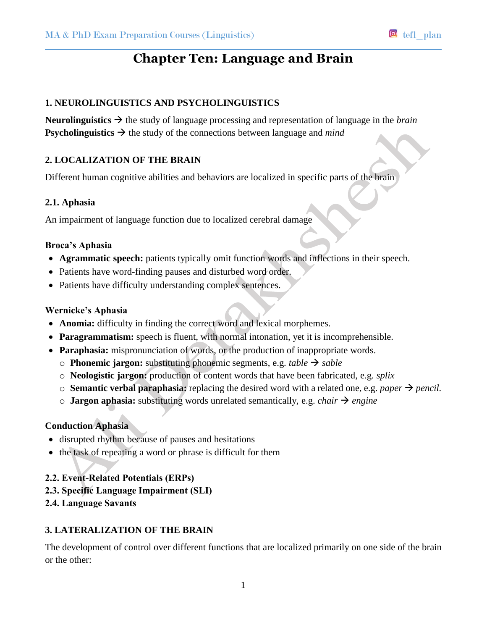# **Chapter Ten: Language and Brain**

## **1. NEUROLINGUISTICS AND PSYCHOLINGUISTICS**

**Neurolinguistics**  $\rightarrow$  the study of language processing and representation of language in the *brain* **Psycholinguistics**  $\rightarrow$  the study of the connections between language and *mind* 

## **2. LOCALIZATION OF THE BRAIN**

Different human cognitive abilities and behaviors are localized in specific parts of the brain

#### **2.1. Aphasia**

An impairment of language function due to localized cerebral damage

#### **Broca's Aphasia**

- **Agrammatic speech:** patients typically omit function words and inflections in their speech.
- Patients have word-finding pauses and disturbed word order.
- Patients have difficulty understanding complex sentences.

#### **Wernicke's Aphasia**

- **Anomia:** difficulty in finding the correct word and lexical morphemes.
- **Paragrammatism:** speech is fluent, with normal intonation, yet it is incomprehensible.
- **Paraphasia:** mispronunciation of words, or the production of inappropriate words.
	- $\circ$  **Phonemic jargon:** substituting phonemic segments, e.g. *table*  $\rightarrow$  *sable*
	- o **Neologistic jargon:** production of content words that have been fabricated, e.g. *splix*
	- $\circ$  **Semantic verbal paraphasia:** replacing the desired word with a related one, e.g. *paper*  $\rightarrow$  *pencil.*
	- $\circ$  **Jargon aphasia:** substituting words unrelated semantically, e.g. *chair*  $\rightarrow$  *engine*

## **Conduction Aphasia**

- disrupted rhythm because of pauses and hesitations
- the task of repeating a word or phrase is difficult for them

## **2.2. Event-Related Potentials (ERPs)**

- **2.3. Specific Language Impairment (SLI)**
- **2.4. Language Savants**

#### **3. LATERALIZATION OF THE BRAIN**

The development of control over different functions that are localized primarily on one side of the brain or the other: